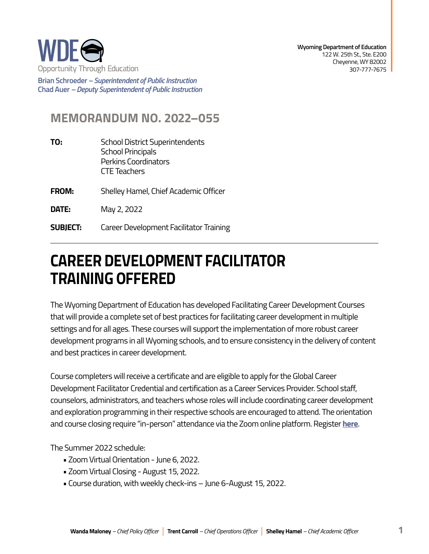

**Brian Schroeder –***Superintendent of Public Instruction*  **Chad Auer** *– Deputy Superintendent of Public Instruction* 

## **MEMORANDUM NO. 2022–055**

- **TO:** School District Superintendents School Principals Perkins Coordinators CTE Teachers
- **FROM:** Shelley Hamel, Chief Academic Officer
- **DATE:** May 2, 2022
- **SUBJECT:** Career Development Facilitator Training

## **CAREER DEVELOPMENT FACILITATOR TRAINING OFFERED**

The Wyoming Department of Education has developed Facilitating Career Development Courses that will provide a complete set of best practices for facilitating career development in multiple settings and for all ages. These courses will support the implementation of more robust career development programs in all Wyoming schools, and to ensure consistency in the delivery of content and best practices in career development.

Course completers will receive a certificate and are eligible to apply for the Global Career Development Facilitator Credential and certification as a Career Services Provider. School staff, counselors, administrators, and teachers whose roles will include coordinating career development and exploration programming in their respective schools are encouraged to attend. The orientation and course closing require "in-person" attendance via the Zoom online platform. Register **[here](https://docs.google.com/forms/d/e/1FAIpQLScqJmGa1mal7YfjsFiOHEGIweuzDh2A35vCOGUTDjIQeMB40g/viewform?usp=sf_link)**.

The Summer 2022 schedule:

- Zoom Virtual Orientation June 6, 2022.
- Zoom Virtual Closing August 15, 2022.
- Course duration, with weekly check-ins June 6-August 15, 2022.